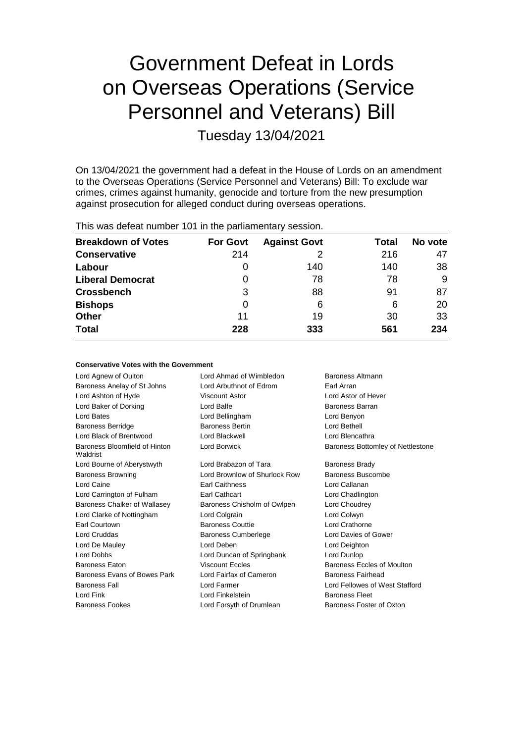# Government Defeat in Lords on Overseas Operations (Service Personnel and Veterans) Bill

Tuesday 13/04/2021

On 13/04/2021 the government had a defeat in the House of Lords on an amendment to the Overseas Operations (Service Personnel and Veterans) Bill: To exclude war crimes, crimes against humanity, genocide and torture from the new presumption against prosecution for alleged conduct during overseas operations.

This was defeat number 101 in the parliamentary session.

| <b>Breakdown of Votes</b> | <b>For Govt</b> | <b>Against Govt</b> | Total | No vote |
|---------------------------|-----------------|---------------------|-------|---------|
| <b>Conservative</b>       | 214             | 2                   | 216   | 47      |
| Labour                    | 0               | 140                 | 140   | 38      |
| <b>Liberal Democrat</b>   | 0               | 78                  | 78    | 9       |
| <b>Crossbench</b>         | 3               | 88                  | 91    | 87      |
| <b>Bishops</b>            | 0               | 6                   | 6     | 20      |
| <b>Other</b>              | 11              | 19                  | 30    | 33      |
| <b>Total</b>              | 228             | 333                 | 561   | 234     |

# **Conservative Votes with the Government**

Lord Agnew of Oulton Lord Ahmad of Wimbledon Baroness Altmann Baroness Anelay of St Johns Lord Arbuthnot of Edrom Earl Arran Lord Ashton of Hyde Viscount Astor Lord Astor of Hever Lord Baker of Dorking **Baroness Barran** Lord Balfe **Baroness Barran** Lord Bates Lord Bellingham Lord Benyon Baroness Berridge **Baroness Bertin** Baroness Bertin Lord Bethell Lord Black of Brentwood Lord Blackwell Lord Blencathra Baroness Bloomfield of Hinton Waldrist Lord Borwick **Baroness Bottomley of Nettlestone** Lord Bourne of Aberystwyth Lord Brabazon of Tara Baroness Brady Baroness Browning Lord Brownlow of Shurlock Row Baroness Buscombe Lord Caine Earl Caithness Lord Callanan Lord Carrington of Fulham Earl Cathcart Earl Cathcart Lord Chadlington Baroness Chalker of Wallasey Baroness Chisholm of Owlpen Lord Choudrey Lord Clarke of Nottingham Lord Colgrain Lord Colwyn Earl Courtown Baroness Couttie Lord Crathorne Lord Cruddas **Baroness Cumberlege** Lord Davies of Gower Lord De Mauley Lord Deben Lord Deighton Lord Dobbs Lord Duncan of Springbank Lord Dunlop Baroness Eaton **Exercise Systems** Viscount Eccles **Baroness Eccles of Moulton** Baroness Evans of Bowes Park Lord Fairfax of Cameron Baroness Fairhead Baroness Fall Lord Farmer Lord Fellowes of West Stafford Lord Fink **Lord Finkelstein** Baroness Fleet Baroness Fookes Lord Forsyth of Drumlean Baroness Foster of Oxton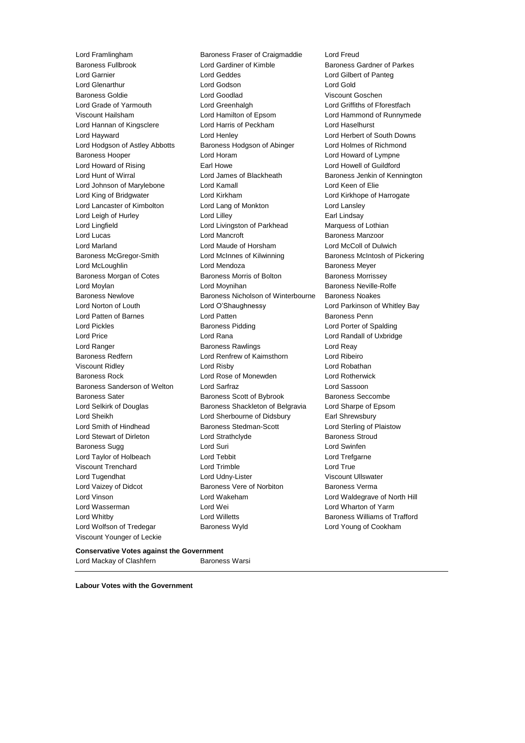Lord Wolfson of Tredegar Baroness Wyld Lord Young of Cookham Viscount Younger of Leckie

Lord Framlingham Baroness Fraser of Craigmaddie Lord Freud Baroness Fullbrook **Lord Gardiner of Kimble** Baroness Gardner of Parkes<br>
Lord Garnier **Baroness** Lord Geddes **Baroness** Lord Gilbert of Panteg Lord Geddes **Lord Gilbert of Panteg** Lord Glenarthur Lord Godson Lord Gold Baroness Goldie Lord Goodlad Viscount Goschen Lord Grade of Yarmouth Lord Greenhalgh Lord Griffiths of Fforestfach Viscount Hailsham Lord Hamilton of Epsom Lord Hammond of Runnymede Lord Hannan of Kingsclere **Lord Harris of Peckham** Lord Haselhurst Lord Hayward Lord Henley Lord Herbert of South Downs Lord Hodgson of Astley Abbotts Baroness Hodgson of Abinger Lord Holmes of Richmond Baroness Hooper Lord Horam Lord Howard of Lympne Lord Howard of Rising **Earl Howe** Earl Howe Lord Howell of Guildford Lord Hunt of Wirral Lord James of Blackheath Baroness Jenkin of Kennington Lord Johnson of Marylebone Lord Kamall Lord Keen of Elie Lord King of Bridgwater Lord Kirkham Lord Kirkhope of Harrogate Lord Lancaster of Kimbolton Lord Lang of Monkton Lord Lansley Lord Leigh of Hurley **Lord Lilley** Lord Lilley **Earl Lindsay** Lord Lingfield Lord Livingston of Parkhead Marquess of Lothian Lord Lucas **Lord Mancroft Baroness Manzoor Lord Mancroft Baroness Manzoor** Lord Marland Lord Maude of Horsham Lord McColl of Dulwich Baroness McGregor-Smith Lord McInnes of Kilwinning Baroness McIntosh of Pickering Lord McLoughlin **Lord Mendoza Baroness Meyer** Baroness Morgan of Cotes Baroness Morris of Bolton Baroness Morrissey Lord Moylan **Lord Moynihan** Baroness Neville-Rolfe Baroness Newlove Baroness Nicholson of Winterbourne Baroness Noakes Lord Norton of Louth Lord O'Shaughnessy Lord Parkinson of Whitley Bay Lord Patten of Barnes **Lord Patten Baroness Penn** Lord Pickles **Baroness Pidding Lord Porter of Spalding** Lord Porter of Spalding Lord Price Lord Rana Lord Randall of Uxbridge Lord Ranger **Baroness Rawlings** Lord Reay Baroness Redfern Lord Renfrew of Kaimsthorn Lord Ribeiro Viscount Ridley Lord Risby Lord Robathan Baroness Rock Lord Rose of Monewden Lord Rotherwick Baroness Sanderson of Welton Lord Sarfraz Lord Sassoon Baroness Sater **Baroness Scott of Bybrook** Baroness Seccombe Lord Selkirk of Douglas Baroness Shackleton of Belgravia Lord Sharpe of Epsom Lord Sheikh Lord Sherbourne of Didsbury Earl Shrewsbury Lord Smith of Hindhead Baroness Stedman-Scott Lord Sterling of Plaistow Lord Stewart of Dirleton Lord Strathclyde Baroness Stroud Baroness Sugg **Communist Communist Communist Communist Communist Communist Communist Communist Communist Communist Communist Communist Communist Communist Communist Communist Communist Communist Communist Communist Communi** Lord Taylor of Holbeach **Lord Tebbit** Lord Trefgarne Viscount Trenchard Lord Trimble Lord True Lord Tugendhat **Lord Udny-Lister** Viscount Ullswater Lord Vaizey of Didcot **Baroness Vere of Norbiton** Baroness Verma Lord Vinson Lord Wakeham Lord Waldegrave of North Hill Lord Wasserman Lord Wei Lord Wharton of Yarm Lord Whitby **Lord Willetts Communist Communist Communist Communist Communist Communist Communist Communist Communist Communist Communist Communist Communist Communist Communist Communist Communist Communist Communist Com** 

## **Conservative Votes against the Government** Lord Mackay of Clashfern Baroness Warsi

**Labour Votes with the Government**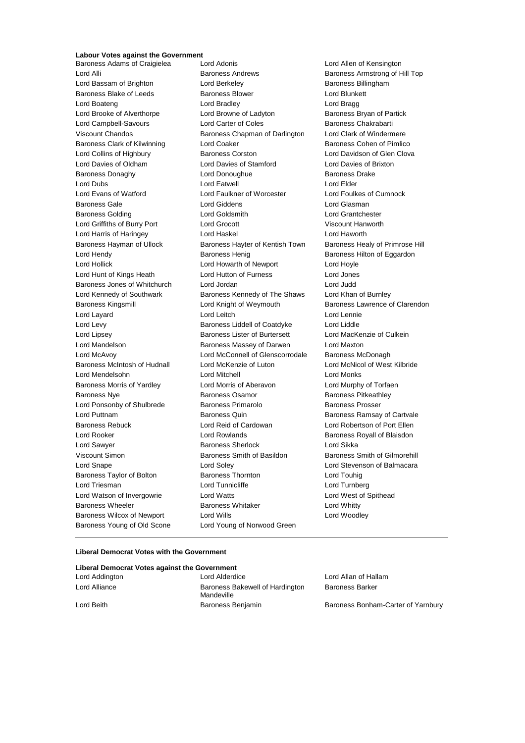# **Labour Votes against the Government**

Baroness Adams of Craigielea Lord Adonis Lord Allen of Kensington Baroness Young of Old Scone Lord Young of Norwood Green

Lord Alli Baroness Andrews Baroness Armstrong of Hill Top Lord Bassam of Brighton **Lord Berkeley Baroness Billingham** Baroness Blake of Leeds **Baroness Blower** Baroness Blower **Lord Blunkett** Lord Boateng Lord Bradley Lord Bragg Lord Brooke of Alverthorpe Lord Browne of Ladyton Baroness Bryan of Partick Lord Campbell-Savours **Lord Carter of Coles** Baroness Chakrabarti Viscount Chandos **Baroness Chapman of Darlington** Lord Clark of Windermere Baroness Clark of Kilwinning **Lord Coaker Communist Containst Containers** Baroness Cohen of Pimlico Lord Collins of Highbury **Baroness Corston** Corston Lord Davidson of Glen Clova Lord Davies of Oldham Lord Davies of Stamford Lord Davies of Brixton Baroness Donaghy **Baroness** Drake Lord Donoughue **Baroness Drake** Lord Dubs Lord Eatwell Lord Elder Lord Evans of Watford Lord Faulkner of Worcester Lord Foulkes of Cumnock Baroness Gale Lord Giddens Lord Glasman Baroness Golding Lord Goldsmith Lord Grantchester Lord Griffiths of Burry Port Lord Grocott Viscount Hanworth Lord Harris of Haringey Lord Haskel Lord Haworth Baroness Hayman of Ullock Baroness Hayter of Kentish Town Baroness Healy of Primrose Hill Lord Hendy **Baroness Henig** Baroness Henig Baroness Hilton of Eggardon Lord Hollick Lord Howarth of Newport Lord Hoyle Lord Hunt of Kings Heath Lord Hutton of Furness Lord Jones Baroness Jones of Whitchurch Lord Jordan Lord Judd Lord Kennedy of Southwark Baroness Kennedy of The Shaws Lord Khan of Burnley Baroness Kingsmill **Example 2** Lord Knight of Weymouth Baroness Lawrence of Clarendon Lord Layard **Lord Leitch** Lord Leitch **Lord Lennie** Lord Levy Baroness Liddell of Coatdyke Lord Liddle Lord Lipsey **Baroness Lister of Burtersett** Lord MacKenzie of Culkein Lord Mandelson Baroness Massey of Darwen Lord Maxton Lord McAvoy Lord McConnell of Glenscorrodale Baroness McDonagh Baroness McIntosh of Hudnall Lord McKenzie of Luton Lord McNicol of West Kilbride Lord Mendelsohn Lord Mitchell Lord Monks Baroness Morris of Yardley **Lord Morris of Aberavon** Lord Murphy of Torfaen Baroness Nye **Baroness Osamor** Baroness Osamor **Baroness Pitkeathley** Lord Ponsonby of Shulbrede Baroness Primarolo Baroness Prosser Lord Puttnam Baroness Quin Baroness Ramsay of Cartvale Baroness Rebuck Lord Reid of Cardowan Lord Robertson of Port Ellen Lord Rooker Lord Rowlands Baroness Royall of Blaisdon Lord Sawyer **Baroness Sherlock** Lord Sikka Viscount Simon **Baroness Smith of Basildon** Baroness Smith of Gilmorehill Lord Snape Lord Soley Lord Stevenson of Balmacara Baroness Taylor of Bolton **Baroness Thornton** Baroness Thornton Lord Touhig Lord Triesman **Lord Tunnicliffe** Lord Tunnicliffe Lord Turnberg Lord Watson of Invergowrie Lord Watts Lord West of Spithead Baroness Wheeler **Baroness Whitaker** Lord Whitty Baroness Wilcox of Newport Lord Wills Lord Woodley

#### **Liberal Democrat Votes with the Government**

| Liberal Democrat Votes against the Government |                                               |                                    |
|-----------------------------------------------|-----------------------------------------------|------------------------------------|
| Lord Addington                                | Lord Alderdice                                | Lord Allan of Hallam               |
| Lord Alliance                                 | Baroness Bakewell of Hardington<br>Mandeville | <b>Baroness Barker</b>             |
| Lord Beith                                    | Baroness Benjamin                             | Baroness Bonham-Carter of Yarnbury |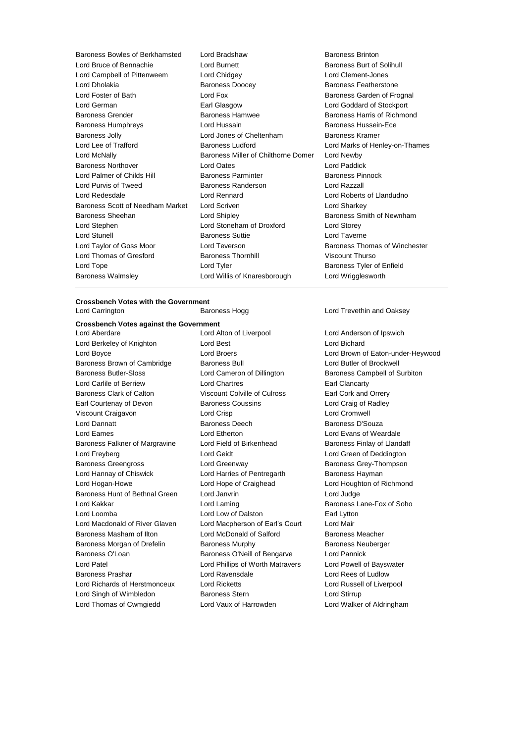Baroness Bowles of Berkhamsted Lord Bradshaw Baroness Brinton Lord Bruce of Bennachie **Lord Burnett** Baroness Burt of Solihull Lord Campbell of Pittenweem Lord Chidgey Lord Clement-Jones Lord Dholakia Baroness Doocey Baroness Featherstone Lord Foster of Bath **Lord Fox** Lord Fox **Baroness Garden of Frognal** Lord German Earl Glasgow Lord Goddard of Stockport Baroness Grender **Baroness Hamwee** Baroness Hamwee **Baroness Harris of Richmond** Baroness Humphreys **Example 2** Lord Hussain **Baroness Hussein-Ece** Baroness Jolly Lord Jones of Cheltenham Baroness Kramer Lord Lee of Trafford Baroness Ludford Lord Marks of Henley-on-Thames Lord McNally Baroness Miller of Chilthorne Domer Lord Newby Baroness Northover Lord Oates Lord Paddick Lord Palmer of Childs Hill Baroness Parminter Baroness Pinnock Lord Purvis of Tweed Baroness Randerson Lord Razzall Lord Redesdale Lord Rennard Lord Roberts of Llandudno Baroness Scott of Needham Market Lord Scriven Lord Charless Scott of Needham Market Lord Striven Baroness Sheehan **Baroness** Sheehan Lord Shipley **Baroness Smith of Newnham** Lord Stephen Lord Stoneham of Droxford Lord Storey Lord Stunell Baroness Suttie Lord Taverne Lord Taylor of Goss Moor Lord Teverson Baroness Thomas of Winchester Lord Thomas of Gresford Baroness Thornhill Viscount Thurso Lord Tope **Lord Tyler Lord Tyler** Baroness Tyler of Enfield Baroness Walmsley Lord Willis of Knaresborough Lord Wrigglesworth

## **Crossbench Votes with the Government** Lord Carrington Baroness Hogg Lord Trevethin and Oaksey

# **Crossbench Votes against the Government**

Lord Berkeley of Knighton **Lord Best** Lord Bichard Lord Bichard Baroness Brown of Cambridge Baroness Bull Baroness Bull Lord Butler of Brockwell Baroness Butler-Sloss Lord Cameron of Dillington Baroness Campbell of Surbiton Lord Carlile of Berriew Lord Chartres Earl Clancarty Baroness Clark of Calton Viscount Colville of Culross Earl Cork and Orrery Earl Courtenay of Devon Baroness Coussins Lord Craig of Radley Viscount Craigavon Lord Crisp Lord Cromwell Lord Dannatt **Baroness Deech** Baroness Deech Baroness D'Souza Lord Eames Lord Etherton Lord Evans of Weardale Baroness Falkner of Margravine Lord Field of Birkenhead Baroness Finlay of Llandaff Lord Freyberg **Lord Geidt** Lord Geidt Lord Green of Deddington Baroness Greengross **Lord Greenway Baroness Grey-Thompson** Lord Hannay of Chiswick **Lord Harries of Pentregarth** Baroness Hayman Lord Hogan-Howe Lord Hope of Craighead Lord Houghton of Richmond Baroness Hunt of Bethnal Green Lord Janvrin Lord Judge Lord Kakkar **Lord Laming Lord Laming** Baroness Lane-Fox of Soho Lord Loomba **Lord Low of Dalston** Earl Lytton Lord Macdonald of River Glaven Lord Macpherson of Earl's Court Lord Mair Baroness Masham of Ilton **Lord McDonald of Salford** Baroness Meacher Baroness Morgan of Drefelin **Baroness Murphy** Baroness Neuberger Baroness O'Loan Baroness O'Neill of Bengarve Lord Pannick Lord Patel Lord Phillips of Worth Matravers Lord Powell of Bayswater Baroness Prashar Lord Ravensdale Lord Rees of Ludlow Lord Richards of Herstmonceux Lord Ricketts Lord Russell of Liverpool Lord Singh of Wimbledon **Baroness Stern Baroness Stern** Lord Stirrup Lord Thomas of Cwmgiedd Lord Vaux of Harrowden Lord Walker of Aldringham

Lord Aberdare Lord Alton of Liverpool Lord Anderson of Ipswich

Lord Boyce Lord Broers Lord Brown of Eaton-under-Heywood